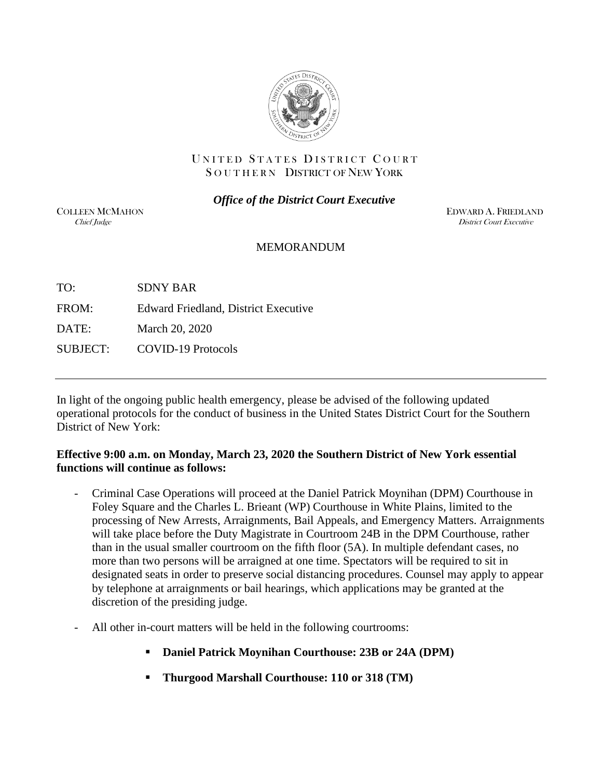

### UNITED STATES DISTRICT COURT SOUTHERN DISTRICT OF NEW YORK

*Office of the District Court Executive*

COLLEEN MCMAHON **EDWARD A. FRIEDLAND**<br>Chief Indee *District Court Executive* **District Court Executive** 

### MEMORANDUM

TO: SDNY BAR FROM: Edward Friedland, District Executive DATE: March 20, 2020 SUBJECT: COVID-19 Protocols

In light of the ongoing public health emergency, please be advised of the following updated operational protocols for the conduct of business in the United States District Court for the Southern District of New York:

## **Effective 9:00 a.m. on Monday, March 23, 2020 the Southern District of New York essential functions will continue as follows:**

- Criminal Case Operations will proceed at the Daniel Patrick Moynihan (DPM) Courthouse in Foley Square and the Charles L. Brieant (WP) Courthouse in White Plains, limited to the processing of New Arrests, Arraignments, Bail Appeals, and Emergency Matters. Arraignments will take place before the Duty Magistrate in Courtroom 24B in the DPM Courthouse, rather than in the usual smaller courtroom on the fifth floor (5A). In multiple defendant cases, no more than two persons will be arraigned at one time. Spectators will be required to sit in designated seats in order to preserve social distancing procedures. Counsel may apply to appear by telephone at arraignments or bail hearings, which applications may be granted at the discretion of the presiding judge.
- All other in-court matters will be held in the following courtrooms:
	- **Daniel Patrick Moynihan Courthouse: 23B or 24A (DPM)**
	- **Thurgood Marshall Courthouse: 110 or 318 (TM)**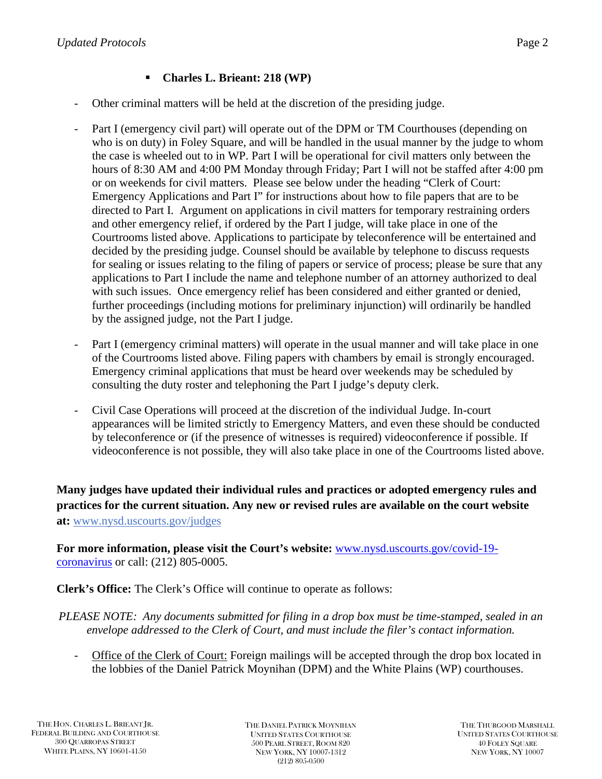# **Charles L. Brieant: 218 (WP)**

- Other criminal matters will be held at the discretion of the presiding judge.
- Part I (emergency civil part) will operate out of the DPM or TM Courthouses (depending on who is on duty) in Foley Square, and will be handled in the usual manner by the judge to whom the case is wheeled out to in WP. Part I will be operational for civil matters only between the hours of 8:30 AM and 4:00 PM Monday through Friday; Part I will not be staffed after 4:00 pm or on weekends for civil matters. Please see below under the heading "Clerk of Court: Emergency Applications and Part I" for instructions about how to file papers that are to be directed to Part I. Argument on applications in civil matters for temporary restraining orders and other emergency relief, if ordered by the Part I judge, will take place in one of the Courtrooms listed above. Applications to participate by teleconference will be entertained and decided by the presiding judge. Counsel should be available by telephone to discuss requests for sealing or issues relating to the filing of papers or service of process; please be sure that any applications to Part I include the name and telephone number of an attorney authorized to deal with such issues. Once emergency relief has been considered and either granted or denied, further proceedings (including motions for preliminary injunction) will ordinarily be handled by the assigned judge, not the Part I judge.
- Part I (emergency criminal matters) will operate in the usual manner and will take place in one of the Courtrooms listed above. Filing papers with chambers by email is strongly encouraged. Emergency criminal applications that must be heard over weekends may be scheduled by consulting the duty roster and telephoning the Part I judge's deputy clerk.
- Civil Case Operations will proceed at the discretion of the individual Judge. In-court appearances will be limited strictly to Emergency Matters, and even these should be conducted by teleconference or (if the presence of witnesses is required) videoconference if possible. If videoconference is not possible, they will also take place in one of the Courtrooms listed above.

**Many judges have updated their individual rules and practices or adopted emergency rules and practices for the current situation. Any new or revised rules are available on the court website at:** www.nysd.uscourts.gov/judges

**For more information, please visit the Court's website:** [www.nysd.uscourts.gov/covid-19](http://www.nysd.uscourts.gov/covid-19-coronavirus) [coronavirus](http://www.nysd.uscourts.gov/covid-19-coronavirus) or call: (212) 805-0005.

**Clerk's Office:** The Clerk's Office will continue to operate as follows:

*PLEASE NOTE: Any documents submitted for filing in a drop box must be time-stamped, sealed in an envelope addressed to the Clerk of Court, and must include the filer's contact information.* 

- Office of the Clerk of Court: Foreign mailings will be accepted through the drop box located in the lobbies of the Daniel Patrick Moynihan (DPM) and the White Plains (WP) courthouses.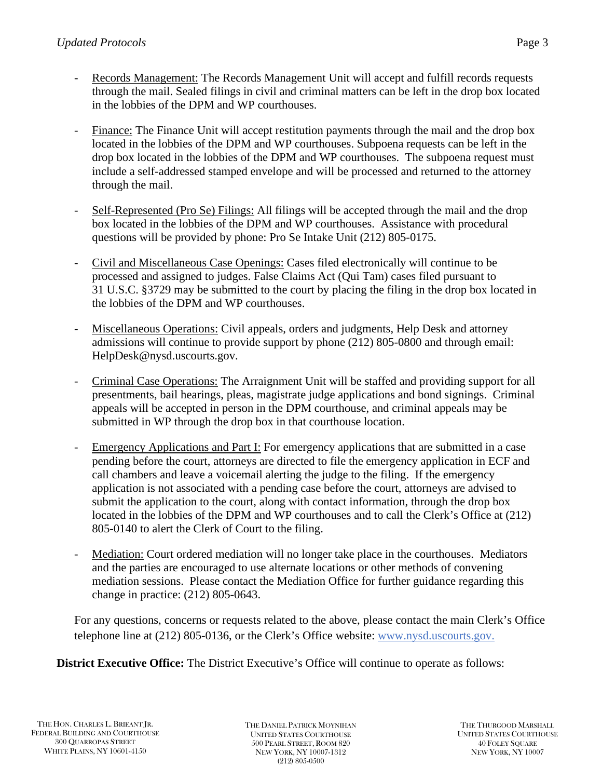- Records Management: The Records Management Unit will accept and fulfill records requests through the mail. Sealed filings in civil and criminal matters can be left in the drop box located in the lobbies of the DPM and WP courthouses.
- Finance: The Finance Unit will accept restitution payments through the mail and the drop box located in the lobbies of the DPM and WP courthouses. Subpoena requests can be left in the drop box located in the lobbies of the DPM and WP courthouses. The subpoena request must include a self-addressed stamped envelope and will be processed and returned to the attorney through the mail.
- Self-Represented (Pro Se) Filings: All filings will be accepted through the mail and the drop box located in the lobbies of the DPM and WP courthouses. Assistance with procedural questions will be provided by phone: Pro Se Intake Unit (212) 805-0175.
- Civil and Miscellaneous Case Openings: Cases filed electronically will continue to be processed and assigned to judges. False Claims Act (Qui Tam) cases filed pursuant to 31 U.S.C. §3729 may be submitted to the court by placing the filing in the drop box located in the lobbies of the DPM and WP courthouses.
- Miscellaneous Operations: Civil appeals, orders and judgments, Help Desk and attorney admissions will continue to provide support by phone (212) 805-0800 and through email: HelpDesk@nysd.uscourts.gov.
- Criminal Case Operations: The Arraignment Unit will be staffed and providing support for all presentments, bail hearings, pleas, magistrate judge applications and bond signings. Criminal appeals will be accepted in person in the DPM courthouse, and criminal appeals may be submitted in WP through the drop box in that courthouse location.
- Emergency Applications and Part I: For emergency applications that are submitted in a case pending before the court, attorneys are directed to file the emergency application in ECF and call chambers and leave a voicemail alerting the judge to the filing. If the emergency application is not associated with a pending case before the court, attorneys are advised to submit the application to the court, along with contact information, through the drop box located in the lobbies of the DPM and WP courthouses and to call the Clerk's Office at (212) 805-0140 to alert the Clerk of Court to the filing.
- Mediation: Court ordered mediation will no longer take place in the courthouses. Mediators and the parties are encouraged to use alternate locations or other methods of convening mediation sessions. Please contact the Mediation Office for further guidance regarding this change in practice: (212) 805-0643.

For any questions, concerns or requests related to the above, please contact the main Clerk's Office telephone line at (212) 805-0136, or the Clerk's Office website: www.nysd.uscourts.gov.

**District Executive Office:** The District Executive's Office will continue to operate as follows: